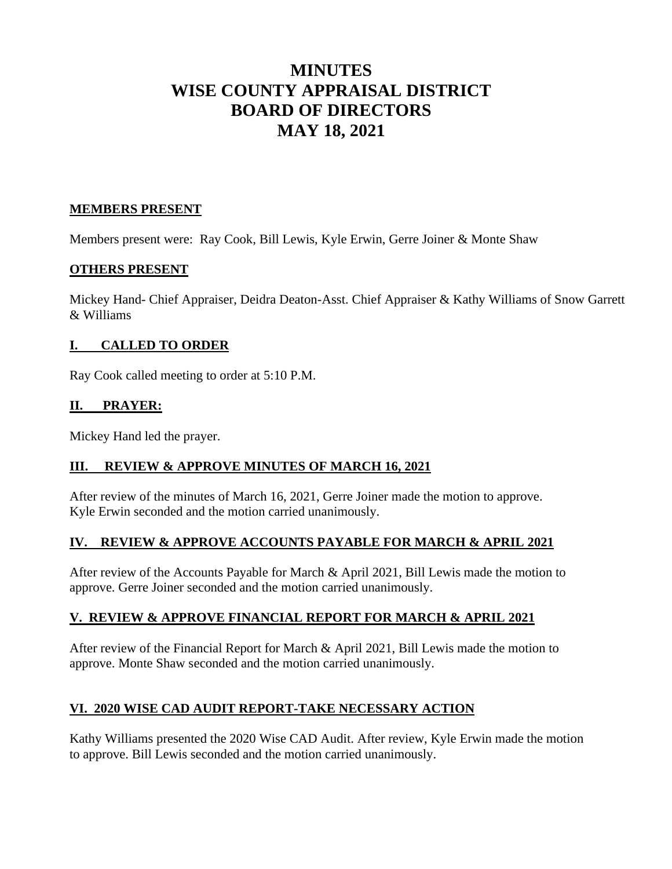# **MINUTES WISE COUNTY APPRAISAL DISTRICT BOARD OF DIRECTORS MAY 18, 2021**

# **MEMBERS PRESENT**

Members present were: Ray Cook, Bill Lewis, Kyle Erwin, Gerre Joiner & Monte Shaw

# **OTHERS PRESENT**

Mickey Hand- Chief Appraiser, Deidra Deaton-Asst. Chief Appraiser & Kathy Williams of Snow Garrett & Williams

# **I. CALLED TO ORDER**

Ray Cook called meeting to order at 5:10 P.M.

# **II. PRAYER:**

Mickey Hand led the prayer.

# **III. REVIEW & APPROVE MINUTES OF MARCH 16, 2021**

After review of the minutes of March 16, 2021, Gerre Joiner made the motion to approve. Kyle Erwin seconded and the motion carried unanimously.

## **IV. REVIEW & APPROVE ACCOUNTS PAYABLE FOR MARCH & APRIL 2021**

After review of the Accounts Payable for March & April 2021, Bill Lewis made the motion to approve. Gerre Joiner seconded and the motion carried unanimously.

# **V. REVIEW & APPROVE FINANCIAL REPORT FOR MARCH & APRIL 2021**

After review of the Financial Report for March & April 2021, Bill Lewis made the motion to approve. Monte Shaw seconded and the motion carried unanimously.

# **VI. 2020 WISE CAD AUDIT REPORT-TAKE NECESSARY ACTION**

Kathy Williams presented the 2020 Wise CAD Audit. After review, Kyle Erwin made the motion to approve. Bill Lewis seconded and the motion carried unanimously.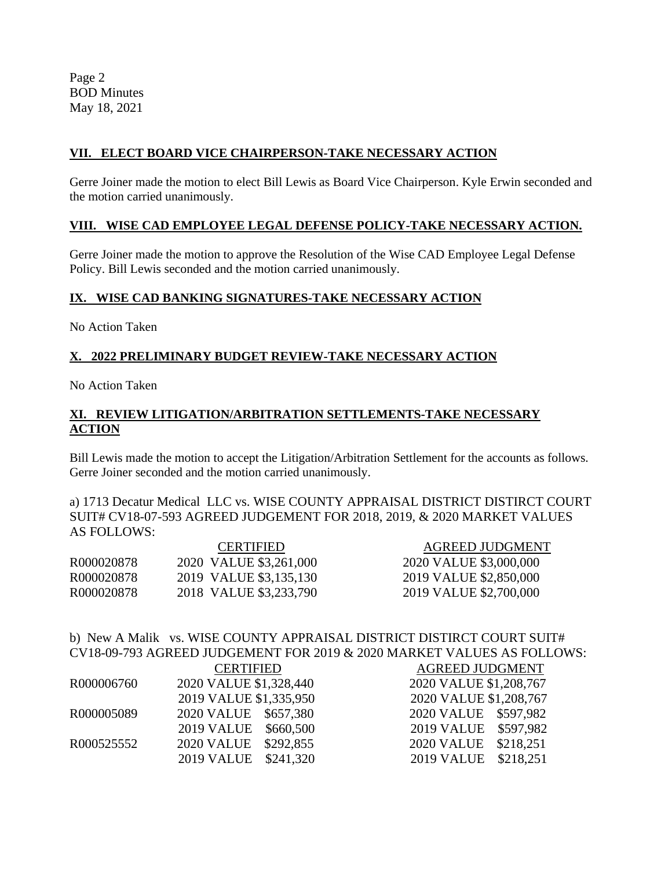Page 2 BOD Minutes May 18, 2021

## **VII. ELECT BOARD VICE CHAIRPERSON-TAKE NECESSARY ACTION**

Gerre Joiner made the motion to elect Bill Lewis as Board Vice Chairperson. Kyle Erwin seconded and the motion carried unanimously.

#### **VIII. WISE CAD EMPLOYEE LEGAL DEFENSE POLICY-TAKE NECESSARY ACTION.**

Gerre Joiner made the motion to approve the Resolution of the Wise CAD Employee Legal Defense Policy. Bill Lewis seconded and the motion carried unanimously.

#### **IX. WISE CAD BANKING SIGNATURES-TAKE NECESSARY ACTION**

No Action Taken

## **X. 2022 PRELIMINARY BUDGET REVIEW-TAKE NECESSARY ACTION**

No Action Taken

## **XI. REVIEW LITIGATION/ARBITRATION SETTLEMENTS-TAKE NECESSARY ACTION**

Bill Lewis made the motion to accept the Litigation/Arbitration Settlement for the accounts as follows. Gerre Joiner seconded and the motion carried unanimously.

a) 1713 Decatur Medical LLC vs. WISE COUNTY APPRAISAL DISTRICT DISTIRCT COURT SUIT# CV18-07-593 AGREED JUDGEMENT FOR 2018, 2019, & 2020 MARKET VALUES AS FOLLOWS:

| <b>CERTIFIED</b>       | <b>AGREED JUDGMENT</b> |
|------------------------|------------------------|
| 2020 VALUE \$3,261,000 | 2020 VALUE \$3,000,000 |
| 2019 VALUE \$3,135,130 | 2019 VALUE \$2,850,000 |
| 2018 VALUE \$3,233,790 | 2019 VALUE \$2,700,000 |
|                        |                        |

# b) New A Malik vs. WISE COUNTY APPRAISAL DISTRICT DISTIRCT COURT SUIT# CV18-09-793 AGREED JUDGEMENT FOR 2019 & 2020 MARKET VALUES AS FOLLOWS:

|            | <b>CERTIFIED</b>               | <b>AGREED JUDGMENT</b> |
|------------|--------------------------------|------------------------|
| R000006760 | 2020 VALUE \$1,328,440         | 2020 VALUE \$1,208,767 |
|            | 2019 VALUE \$1,335,950         | 2020 VALUE \$1,208,767 |
| R000005089 | 2020 VALUE \$657,380           | 2020 VALUE \$597,982   |
|            | 2019 VALUE \$660,500           | 2019 VALUE \$597,982   |
| R000525552 | 2020 VALUE \$292,855           | 2020 VALUE \$218,251   |
|            | <b>2019 VALUE</b><br>\$241,320 | 2019 VALUE \$218,251   |